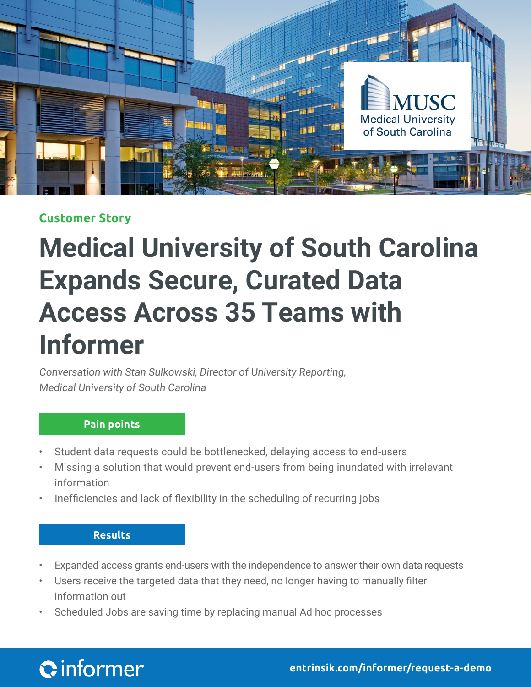

# **Customer Story**

# **Medical University of South Carolina Expands Secure, Curated Data Access Across 35 Teams with Informer**

Conversation with Stan Sulkowski, Director of University Reporting, Medical University of South Carolina

## **Pain points**

- Student data requests could be bottlenecked, delaying access to end-users
- Missing a solution that would prevent end-users from being inundated with irrelevant information
- Inefficiencies and lack of flexibility in the scheduling of recurring jobs

## **Results**

- Expanded access grants end-users with the independence to answer their own data requests
- Users receive the targeted data that they need, no longer having to manually filter information out
- Scheduled Jobs are saving time by replacing manual Ad hoc processes

# **Q**informer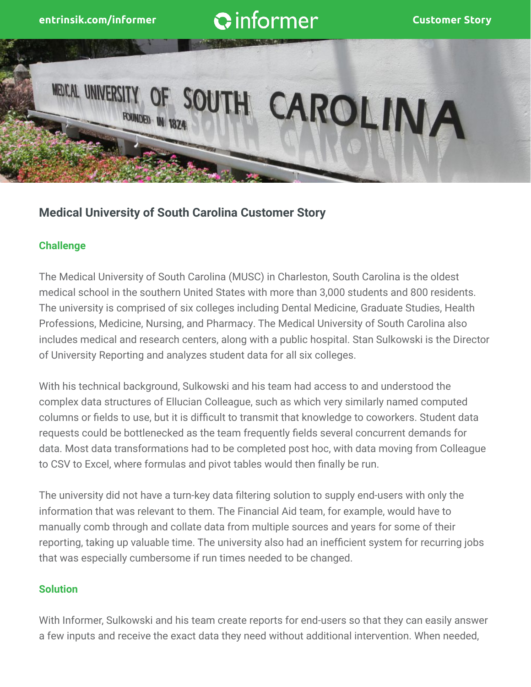

# **Medical University of South Carolina Customer Story**

## **Challenge**

The Medical University of South Carolina (MUSC) in Charleston, South Carolina is the oldest medical school in the southern United States with more than 3,000 students and 800 residents. The university is comprised of six colleges including Dental Medicine, Graduate Studies, Health Professions, Medicine, Nursing, and Pharmacy. The Medical University of South Carolina also includes medical and research centers, along with a public hospital. Stan Sulkowski is the Director of University Reporting and analyzes student data for all six colleges.

With his technical background, Sulkowski and his team had access to and understood the complex data structures of Ellucian Colleague, such as which very similarly named computed columns or fields to use, but it is difficult to transmit that knowledge to coworkers. Student data requests could be bottlenecked as the team frequently fields several concurrent demands for data. Most data transformations had to be completed post hoc, with data moving from Colleague to CSV to Excel, where formulas and pivot tables would then finally be run.

The university did not have a turn-key data filtering solution to supply end-users with only the information that was relevant to them. The Financial Aid team, for example, would have to manually comb through and collate data from multiple sources and years for some of their reporting, taking up valuable time. The university also had an inefficient system for recurring jobs that was especially cumbersome if run times needed to be changed.

#### **Solution**

With Informer, Sulkowski and his team create reports for end-users so that they can easily answer a few inputs and receive the exact data they need without additional intervention. When needed,